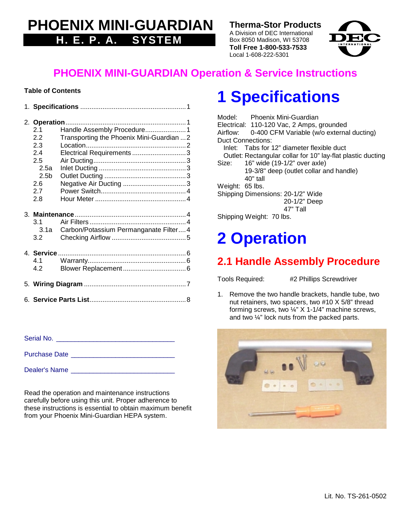# **PHOENIX MINI-GUARDIAN H. E. P. A. SYSTEM**

**Therma-Stor Products**

A Division of DEC International Box 8050 Madison, WI 53708 **Toll Free 1-800-533-7533** Local 1-608-222-5301



## **PHOENIX MINI-GUARDIAN Operation & Service Instructions**

#### **Table of Contents**

| 2.1              | Handle Assembly Procedure 1               |  |
|------------------|-------------------------------------------|--|
| 2.2              | Transporting the Phoenix Mini-Guardian  2 |  |
| 2.3              |                                           |  |
| 2.4              |                                           |  |
| 2.5              | Electrical Requirements 3                 |  |
|                  |                                           |  |
| 2.5a             |                                           |  |
| 2.5 <sub>b</sub> |                                           |  |
| 2.6              |                                           |  |
| 2.7              |                                           |  |
| 2.8              |                                           |  |
|                  |                                           |  |
| 3.1              |                                           |  |
| 3.1a             | Carbon/Potassium Permanganate Filter 4    |  |
| 3.2              |                                           |  |
|                  |                                           |  |
|                  |                                           |  |
| 4.1              |                                           |  |
| 4.2              |                                           |  |
|                  |                                           |  |
|                  |                                           |  |
|                  |                                           |  |
|                  |                                           |  |

Serial No. \_\_\_\_\_\_\_\_\_\_\_\_\_\_\_\_\_\_\_\_\_\_\_\_\_\_\_\_\_\_\_\_

Purchase Date \_\_\_\_\_\_\_\_\_\_\_\_\_\_\_\_\_\_\_\_\_\_\_\_\_\_\_\_

Dealer's Name \_\_\_\_\_\_\_\_\_\_\_\_\_\_\_\_\_\_\_\_\_\_\_\_\_\_\_\_

Read the operation and maintenance instructions carefully before using this unit. Proper adherence to these instructions is essential to obtain maximum benefit from your Phoenix Mini-Guardian HEPA system.

# **1 Specifications**

|                   | Model: Phoenix Mini-Guardian                                |
|-------------------|-------------------------------------------------------------|
|                   | Electrical: 110-120 Vac, 2 Amps, grounded                   |
| Airflow:          | 0-400 CFM Variable (w/o external ducting)                   |
| Duct Connections: |                                                             |
|                   | Inlet: Tabs for 12" diameter flexible duct                  |
|                   | Outlet: Rectangular collar for 10" lay-flat plastic ducting |
| Size:             | 16" wide (19-1/2" over axle)                                |
|                   | 19-3/8" deep (outlet collar and handle)                     |
|                   | $40"$ tall                                                  |
| Weight: 65 lbs.   |                                                             |
|                   | Shipping Dimensions: 20-1/2" Wide                           |
|                   | 20-1/2" Deep                                                |
|                   | 47" Tall                                                    |
|                   | Shipping Weight: 70 lbs.                                    |
|                   |                                                             |
|                   |                                                             |

# **2 Operation**

## **2.1 Handle Assembly Procedure**

Tools Required: #2 Phillips Screwdriver

1. Remove the two handle brackets, handle tube, two nut retainers, two spacers, two #10 X 5/8" thread forming screws, two  $\frac{1}{4}$ " X 1-1/4" machine screws, and two ¼" lock nuts from the packed parts.

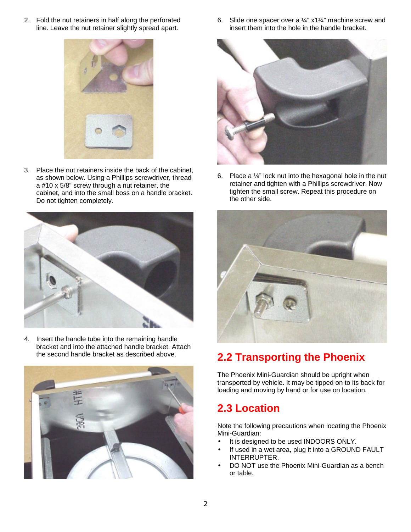2. Fold the nut retainers in half along the perforated line. Leave the nut retainer slightly spread apart.



3. Place the nut retainers inside the back of the cabinet, as shown below. Using a Phillips screwdriver, thread a #10 x 5/8" screw through a nut retainer, the cabinet, and into the small boss on a handle bracket. Do not tighten completely.



4. Insert the handle tube into the remaining handle bracket and into the attached handle bracket. Attach the second handle bracket as described above.



6. Slide one spacer over a  $\frac{1}{4}$ " x1 $\frac{1}{4}$ " machine screw and insert them into the hole in the handle bracket.



6. Place a  $\frac{1}{4}$ " lock nut into the hexagonal hole in the nut retainer and tighten with a Phillips screwdriver. Now tighten the small screw. Repeat this procedure on the other side.



## **2.2 Transporting the Phoenix**

The Phoenix Mini-Guardian should be upright when transported by vehicle. It may be tipped on to its back for loading and moving by hand or for use on location.

#### **2.3 Location**

Note the following precautions when locating the Phoenix Mini-Guardian:

- It is designed to be used INDOORS ONLY.
- If used in a wet area, plug it into a GROUND FAULT INTERRUPTER.
- DO NOT use the Phoenix Mini-Guardian as a bench or table.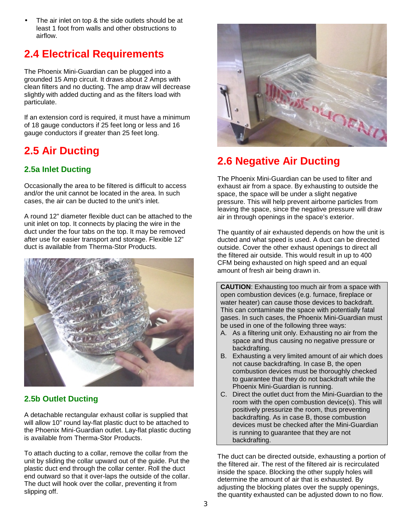The air inlet on top & the side outlets should be at least 1 foot from walls and other obstructions to airflow.

#### **2.4 Electrical Requirements**

The Phoenix Mini-Guardian can be plugged into a grounded 15 Amp circuit. It draws about 2 Amps with clean filters and no ducting. The amp draw will decrease slightly with added ducting and as the filters load with particulate.

If an extension cord is required, it must have a minimum of 18 gauge conductors if 25 feet long or less and 16 gauge conductors if greater than 25 feet long.

## **2.5 Air Ducting**

#### **2.5a Inlet Ducting**

Occasionally the area to be filtered is difficult to access and/or the unit cannot be located in the area. In such cases, the air can be ducted to the unit's inlet.

A round 12" diameter flexible duct can be attached to the unit inlet on top. It connects by placing the wire in the duct under the four tabs on the top. It may be removed after use for easier transport and storage. Flexible 12" duct is available from Therma-Stor Products.



#### **2.5b Outlet Ducting**

A detachable rectangular exhaust collar is supplied that will allow 10" round lay-flat plastic duct to be attached to the Phoenix Mini-Guardian outlet. Lay-flat plastic ducting is available from Therma-Stor Products.

To attach ducting to a collar, remove the collar from the unit by sliding the collar upward out of the guide. Put the plastic duct end through the collar center. Roll the duct end outward so that it over-laps the outside of the collar. The duct will hook over the collar, preventing it from slipping off.



## **2.6 Negative Air Ducting**

The Phoenix Mini-Guardian can be used to filter and exhaust air from a space. By exhausting to outside the space, the space will be under a slight negative pressure. This will help prevent airborne particles from leaving the space, since the negative pressure will draw air in through openings in the space's exterior.

The quantity of air exhausted depends on how the unit is ducted and what speed is used. A duct can be directed outside. Cover the other exhaust openings to direct all the filtered air outside. This would result in up to 400 CFM being exhausted on high speed and an equal amount of fresh air being drawn in.

**CAUTION**: Exhausting too much air from a space with open combustion devices (e.g. furnace, fireplace or water heater) can cause those devices to backdraft. This can contaminate the space with potentially fatal gases. In such cases, the Phoenix Mini-Guardian must be used in one of the following three ways:

- A. As a filtering unit only. Exhausting no air from the space and thus causing no negative pressure or backdrafting.
- B. Exhausting a very limited amount of air which does not cause backdrafting. In case B, the open combustion devices must be thoroughly checked to guarantee that they do not backdraft while the Phoenix Mini-Guardian is running.
- C. Direct the outlet duct from the Mini-Guardian to the room with the open combustion device(s). This will positively pressurize the room, thus preventing backdrafting. As in case B, those combustion devices must be checked after the Mini-Guardian is running to guarantee that they are not backdrafting.

The duct can be directed outside, exhausting a portion of the filtered air. The rest of the filtered air is recirculated inside the space. Blocking the other supply holes will determine the amount of air that is exhausted. By adjusting the blocking plates over the supply openings, the quantity exhausted can be adjusted down to no flow.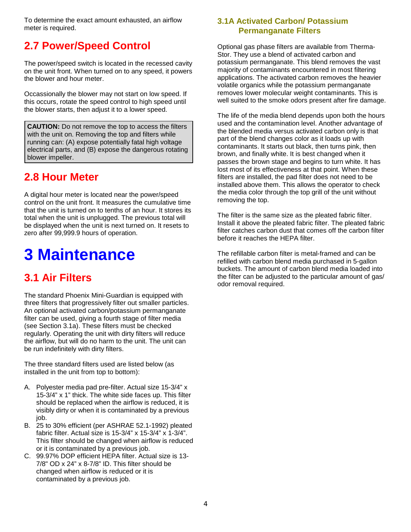To determine the exact amount exhausted, an airflow meter is required.

### **2.7 Power/Speed Control**

The power/speed switch is located in the recessed cavity on the unit front. When turned on to any speed, it powers the blower and hour meter.

Occassionally the blower may not start on low speed. If this occurs, rotate the speed control to high speed until the blower starts, then adjust it to a lower speed.

**CAUTION:** Do not remove the top to access the filters with the unit on. Removing the top and filters while running can: (A) expose potentially fatal high voltage electrical parts, and (B) expose the dangerous rotating blower impeller.

#### **2.8 Hour Meter**

A digital hour meter is located near the power/speed control on the unit front. It measures the cumulative time that the unit is turned on to tenths of an hour. It stores its total when the unit is unplugged. The previous total will be displayed when the unit is next turned on. It resets to zero after 99,999.9 hours of operation.

# **3 Maintenance**

# **3.1 Air Filters**

The standard Phoenix Mini-Guardian is equipped with three filters that progressively filter out smaller particles. An optional activated carbon/potassium permanganate filter can be used, giving a fourth stage of filter media (see Section 3.1a). These filters must be checked regularly. Operating the unit with dirty filters will reduce the airflow, but will do no harm to the unit. The unit can be run indefinitely with dirty filters.

The three standard filters used are listed below (as installed in the unit from top to bottom):

- A. Polyester media pad pre-filter. Actual size 15-3/4" x 15-3/4" x 1" thick. The white side faces up. This filter should be replaced when the airflow is reduced, it is visibly dirty or when it is contaminated by a previous job.
- B. 25 to 30% efficient (per ASHRAE 52.1-1992) pleated fabric filter. Actual size is 15-3/4" x 15-3/4" x 1-3/4". This filter should be changed when airflow is reduced or it is contaminated by a previous job.
- C. 99.97% DOP efficient HEPA filter. Actual size is 13- 7/8" OD x 24" x 8-7/8" ID. This filter should be changed when airflow is reduced or it is contaminated by a previous job.

#### **3.1A Activated Carbon/ Potassium Permanganate Filters**

Optional gas phase filters are available from Therma-Stor. They use a blend of activated carbon and potassium permanganate. This blend removes the vast majority of contaminants encountered in most filtering applications. The activated carbon removes the heavier volatile organics while the potassium permanganate removes lower molecular weight contaminants. This is well suited to the smoke odors present after fire damage.

The life of the media blend depends upon both the hours used and the contamination level. Another advantage of the blended media versus activated carbon only is that part of the blend changes color as it loads up with contaminants. It starts out black, then turns pink, then brown, and finally white. It is best changed when it passes the brown stage and begins to turn white. It has lost most of its effectiveness at that point. When these filters are installed, the pad filter does not need to be installed above them. This allows the operator to check the media color through the top grill of the unit without removing the top.

The filter is the same size as the pleated fabric filter. Install it above the pleated fabric filter. The pleated fabric filter catches carbon dust that comes off the carbon filter before it reaches the HEPA filter.

The refillable carbon filter is metal-framed and can be refilled with carbon blend media purchased in 5-gallon buckets. The amount of carbon blend media loaded into the filter can be adjusted to the particular amount of gas/ odor removal required.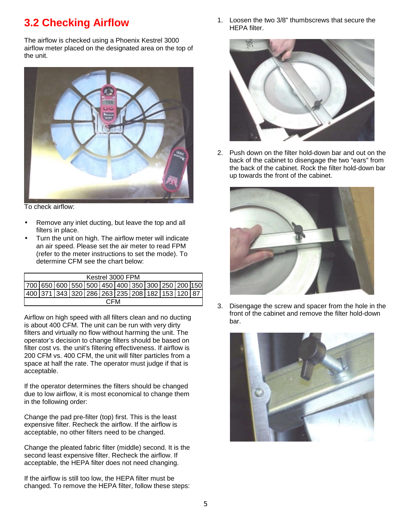### **3.2 Checking Airflow**

The airflow is checked using a Phoenix Kestrel 3000 airflow meter placed on the designated area on the top of the unit.



To check airflow:

- Remove any inlet ducting, but leave the top and all filters in place.
- Turn the unit on high. The airflow meter will indicate an air speed. Please set the air meter to read FPM (refer to the meter instructions to set the mode). To determine CFM see the chart below:

| Kestrel 3000 FPM |                                                                      |  |  |  |  |  |  |  |  |  |
|------------------|----------------------------------------------------------------------|--|--|--|--|--|--|--|--|--|
|                  | 700   650   600   550   500   450   400   350   300   250   200  150 |  |  |  |  |  |  |  |  |  |
|                  | 400   371   343   320   286   263   235   208   182   153   120   87 |  |  |  |  |  |  |  |  |  |
| <b>CEM</b>       |                                                                      |  |  |  |  |  |  |  |  |  |

Airflow on high speed with all filters clean and no ducting is about 400 CFM. The unit can be run with very dirty filters and virtually no flow without harming the unit. The operator's decision to change filters should be based on filter cost vs. the unit's filtering effectiveness. If airflow is 200 CFM vs. 400 CFM, the unit will filter particles from a space at half the rate. The operator must judge if that is acceptable.

If the operator determines the filters should be changed due to low airflow, it is most economical to change them in the following order:

Change the pad pre-filter (top) first. This is the least expensive filter. Recheck the airflow. If the airflow is acceptable, no other filters need to be changed.

Change the pleated fabric filter (middle) second. It is the second least expensive filter. Recheck the airflow. If acceptable, the HEPA filter does not need changing.

If the airflow is still too low, the HEPA filter must be changed. To remove the HEPA filter, follow these steps: 1. Loosen the two 3/8" thumbscrews that secure the HEPA filter.



2. Push down on the filter hold-down bar and out on the back of the cabinet to disengage the two "ears" from the back of the cabinet. Rock the filter hold-down bar up towards the front of the cabinet.



3. Disengage the screw and spacer from the hole in the front of the cabinet and remove the filter hold-down bar.

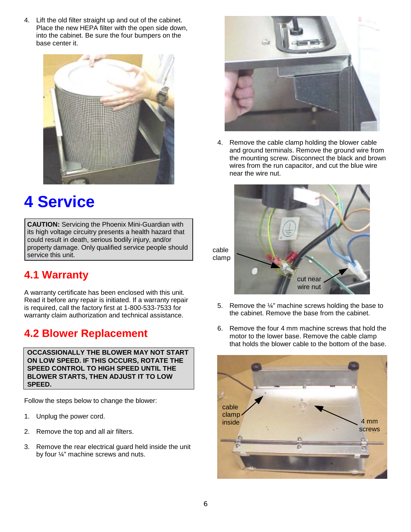4. Lift the old filter straight up and out of the cabinet. Place the new HEPA filter with the open side down, into the cabinet. Be sure the four bumpers on the base center it.



# **4 Service**

**CAUTION:** Servicing the Phoenix Mini-Guardian with its high voltage circuitry presents a health hazard that could result in death, serious bodily injury, and/or property damage. Only qualified service people should service this unit.

#### **4.1 Warranty**

A warranty certificate has been enclosed with this unit. Read it before any repair is initiated. If a warranty repair is required, call the factory first at 1-800-533-7533 for warranty claim authorization and technical assistance.

## **4.2 Blower Replacement**

**OCCASSIONALLY THE BLOWER MAY NOT START ON LOW SPEED. IF THIS OCCURS, ROTATE THE SPEED CONTROL TO HIGH SPEED UNTIL THE BLOWER STARTS, THEN ADJUST IT TO LOW SPEED.**

Follow the steps below to change the blower:

- 1. Unplug the power cord.
- 2. Remove the top and all air filters.
- 3. Remove the rear electrical guard held inside the unit by four ¼" machine screws and nuts.



4. Remove the cable clamp holding the blower cable and ground terminals. Remove the ground wire from the mounting screw. Disconnect the black and brown wires from the run capacitor, and cut the blue wire near the wire nut.



- 5. Remove the ¼" machine screws holding the base to the cabinet. Remove the base from the cabinet.
- 6. Remove the four 4 mm machine screws that hold the motor to the lower base. Remove the cable clamp that holds the blower cable to the bottom of the base.

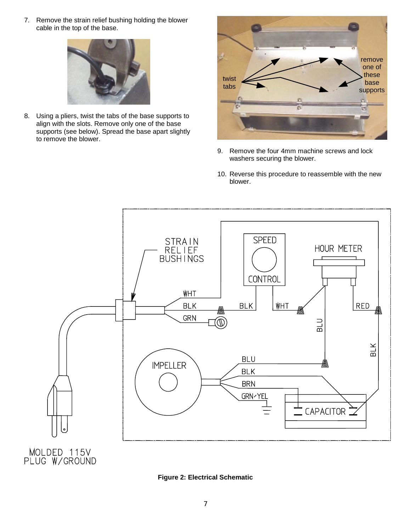7. Remove the strain relief bushing holding the blower cable in the top of the base.



8. Using a pliers, twist the tabs of the base supports to align with the slots. Remove only one of the base supports (see below). Spread the base apart slightly to remove the blower.



- 9. Remove the four 4mm machine screws and lock washers securing the blower.
- 10. Reverse this procedure to reassemble with the new blower.